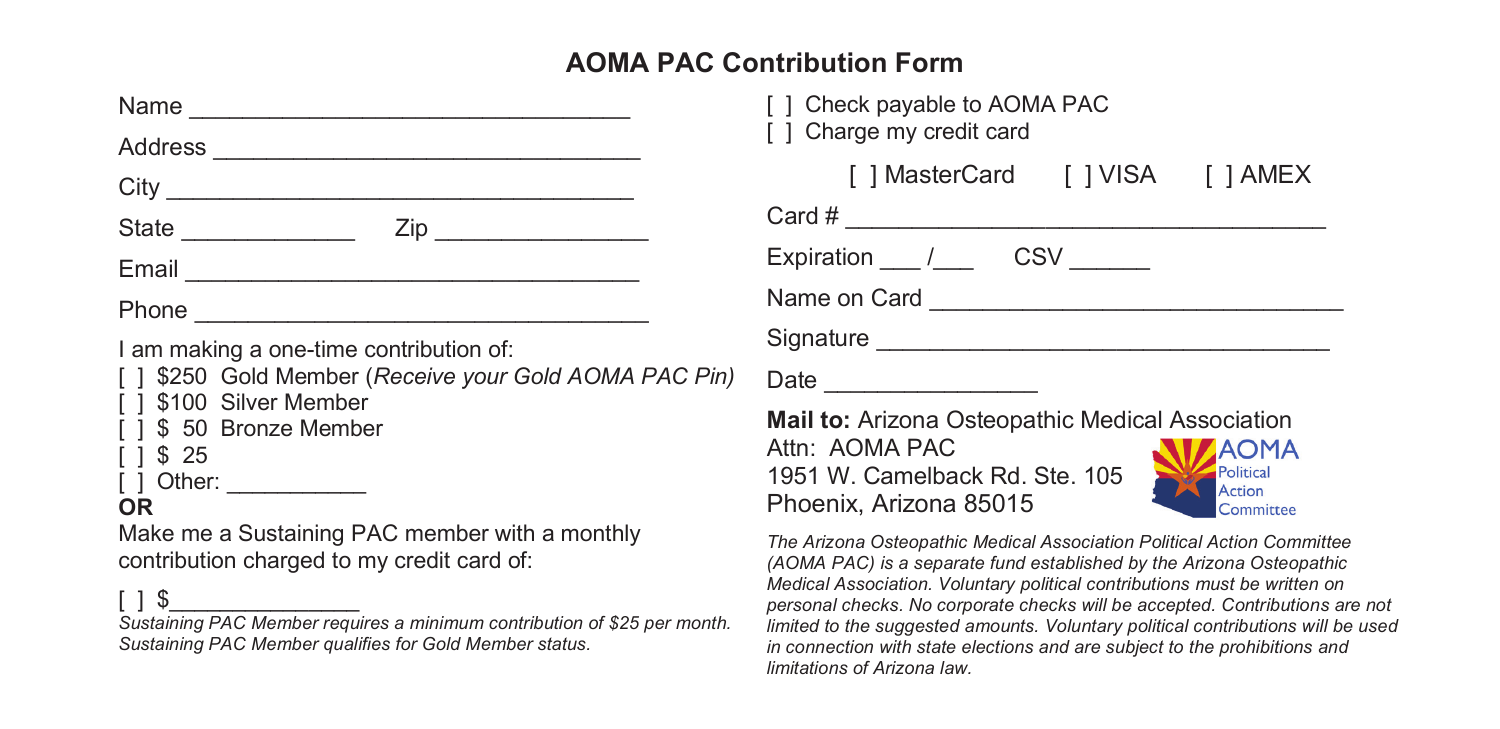## **AOMA PAC Contribution Form**

| Name                                                                                                                                                                                                                                                                                                            |  |
|-----------------------------------------------------------------------------------------------------------------------------------------------------------------------------------------------------------------------------------------------------------------------------------------------------------------|--|
|                                                                                                                                                                                                                                                                                                                 |  |
|                                                                                                                                                                                                                                                                                                                 |  |
|                                                                                                                                                                                                                                                                                                                 |  |
|                                                                                                                                                                                                                                                                                                                 |  |
|                                                                                                                                                                                                                                                                                                                 |  |
| I am making a one-time contribution of:<br>[] \$250 Gold Member (Receive your Gold AOMA PAC Pin)<br>[ ] \$100 Silver Member<br>[ ] \$ 50 Bronze Member<br>$1 \frac{1}{2}$ \$25<br>[ ] Other: ____________<br>OR<br>Make me a Sustaining PAC member with a monthly<br>contribution charged to my credit card of: |  |
| $\Box$                                                                                                                                                                                                                                                                                                          |  |

*Sustaining PAC Member requires a minimum contribution of \$25 per month. Sustaining PAC Member qualifies for Gold Member status.*

| [ ] Check payable to AOMA PAC<br>[ ] Charge my credit card |  |
|------------------------------------------------------------|--|
| [] MasterCard [] VISA [] AMEX                              |  |
|                                                            |  |
| Expiration / CSV                                           |  |
| Name on Card <b>Name on Card</b>                           |  |
|                                                            |  |
|                                                            |  |
| Mail to: Arizona Ostoopathic Modical Association           |  |

**Mail to:** Arizona Osteopathic Medical A Attn: AOMA PAC 1951 W. Camelback Rd. Ste. 105 Political Action Phoenix, Arizona 85015



*The Arizona Osteopathic Medical Association Political Action Committee (AOMA PAC) is a separate fund established by the Arizona Osteopathic Medical Association. Voluntary political contributions must be written on personal checks. No corporate checks will be accepted. Contributions are not limited to the suggested amounts. Voluntary political contributions will be used in connection with state elections and are subject to the prohibitions and limitations of Arizona law.*